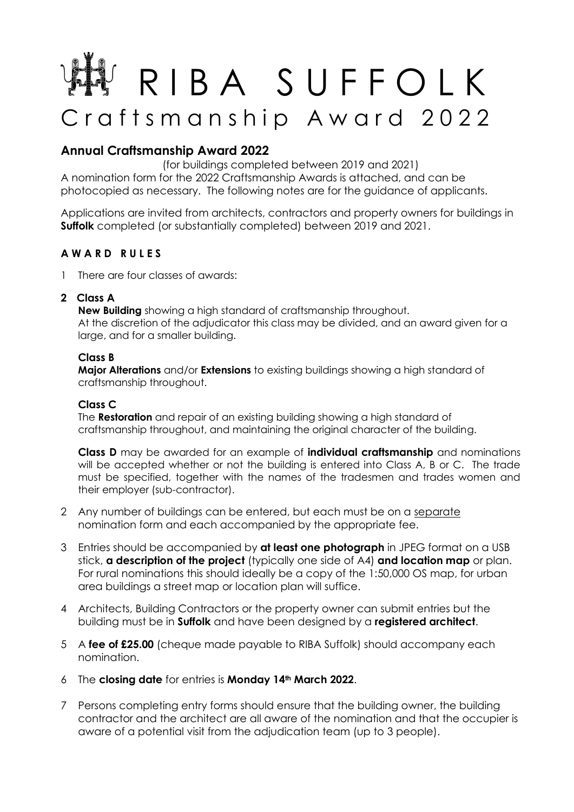# R I B A S U F F O L K Craftsmanship Award 2022

# **Annual Craftsmanship Award 2022**

(for buildings completed between 2019 and 2021)

A nomination form for the 2022 Craftsmanship Awards is attached, and can be photocopied as necessary. The following notes are for the guidance of applicants.

Applications are invited from architects, contractors and property owners for buildings in **Suffolk** completed (or substantially completed) between 2019 and 2021.

## **A W A R D R U L E S**

- 1 There are four classes of awards:
- **2 Class A**

**New Building** showing a high standard of craftsmanship throughout. At the discretion of the adjudicator this class may be divided, and an award given for a large, and for a smaller building.

#### **Class B**

**Major Alterations** and/or **Extensions** to existing buildings showing a high standard of craftsmanship throughout.

#### **Class C**

The **Restoration** and repair of an existing building showing a high standard of craftsmanship throughout, and maintaining the original character of the building.

**Class D** may be awarded for an example of **individual craftsmanship** and nominations will be accepted whether or not the building is entered into Class A, B or C. The trade must be specified, together with the names of the tradesmen and trades women and their employer (sub-contractor).

- 2 Any number of buildings can be entered, but each must be on a separate nomination form and each accompanied by the appropriate fee.
- 3 Entries should be accompanied by **at least one photograph** in JPEG format on a USB stick, **a description of the project** (typically one side of A4) **and location map** or plan. For rural nominations this should ideally be a copy of the 1:50,000 OS map, for urban area buildings a street map or location plan will suffice.
- 4 Architects, Building Contractors or the property owner can submit entries but the building must be in **Suffolk** and have been designed by a **registered architect**.
- 5 A **fee of £25.00** (cheque made payable to RIBA Suffolk) should accompany each nomination.
- 6 The **closing date** for entries is **Monday 14th March 2022**.
- 7 Persons completing entry forms should ensure that the building owner, the building contractor and the architect are all aware of the nomination and that the occupier is aware of a potential visit from the adjudication team (up to 3 people).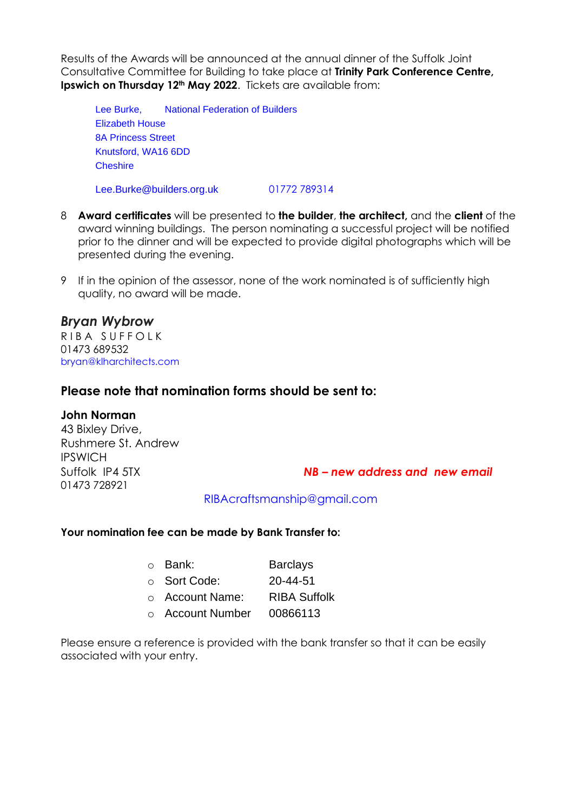Results of the Awards will be announced at the annual dinner of the Suffolk Joint Consultative Committee for Building to take place at **Trinity Park Conference Centre, Ipswich on Thursday 12th May 2022**. Tickets are available from:

Lee Burke, National Federation of Builders Elizabeth House 8A Princess Street Knutsford, WA16 6DD Cheshire

Lee.Burke@builders.org.uk 01772 789314

- 8 **Award certificates** will be presented to **the builder**, **the architect,** and the **client** of the award winning buildings. The person nominating a successful project will be notified prior to the dinner and will be expected to provide digital photographs which will be presented during the evening.
- 9 If in the opinion of the assessor, none of the work nominated is of sufficiently high quality, no award will be made.

# *Bryan Wybrow*

R I B A S UFFO L K 01473 689532 bryan@klharchitects.com

## **Please note that nomination forms should be sent to:**

#### **John Norman**

43 Bixley Drive, Rushmere St. Andrew IPSWICH 01473 728921

Suffolk IP4 5TX *NB – new address and new email*

RIBAcraftsmanship@gmail.com

#### **Your nomination fee can be made by Bank Transfer to:**

| ○ Bank:          | <b>Barclays</b>     |
|------------------|---------------------|
| ○ Sort Code:     | 20-44-51            |
| ○ Account Name:  | <b>RIBA Suffolk</b> |
| ○ Account Number | 00866113            |

Please ensure a reference is provided with the bank transfer so that it can be easily associated with your entry.